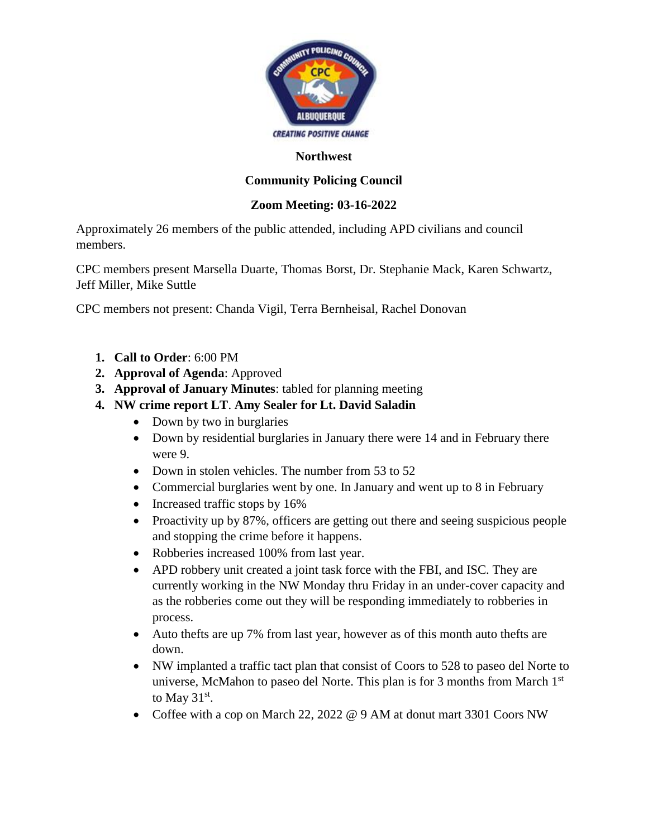

#### **Northwest**

### **Community Policing Council**

#### **Zoom Meeting: 03-16-2022**

Approximately 26 members of the public attended, including APD civilians and council members.

CPC members present Marsella Duarte, Thomas Borst, Dr. Stephanie Mack, Karen Schwartz, Jeff Miller, Mike Suttle

CPC members not present: Chanda Vigil, Terra Bernheisal, Rachel Donovan

- **1. Call to Order**: 6:00 PM
- **2. Approval of Agenda**: Approved
- **3. Approval of January Minutes**: tabled for planning meeting
- **4. NW crime report LT**. **Amy Sealer for Lt. David Saladin** 
	- Down by two in burglaries
	- Down by residential burglaries in January there were 14 and in February there were 9.
	- Down in stolen vehicles. The number from 53 to 52
	- Commercial burglaries went by one. In January and went up to 8 in February
	- Increased traffic stops by 16%
	- Proactivity up by 87%, officers are getting out there and seeing suspicious people and stopping the crime before it happens.
	- Robberies increased 100% from last year.
	- APD robbery unit created a joint task force with the FBI, and ISC. They are currently working in the NW Monday thru Friday in an under-cover capacity and as the robberies come out they will be responding immediately to robberies in process.
	- Auto thefts are up 7% from last year, however as of this month auto thefts are down.
	- NW implanted a traffic tact plan that consist of Coors to 528 to paseo del Norte to universe, McMahon to paseo del Norte. This plan is for 3 months from March 1<sup>st</sup> to May  $31<sup>st</sup>$ .
	- Coffee with a cop on March 22, 2022 @ 9 AM at donut mart 3301 Coors NW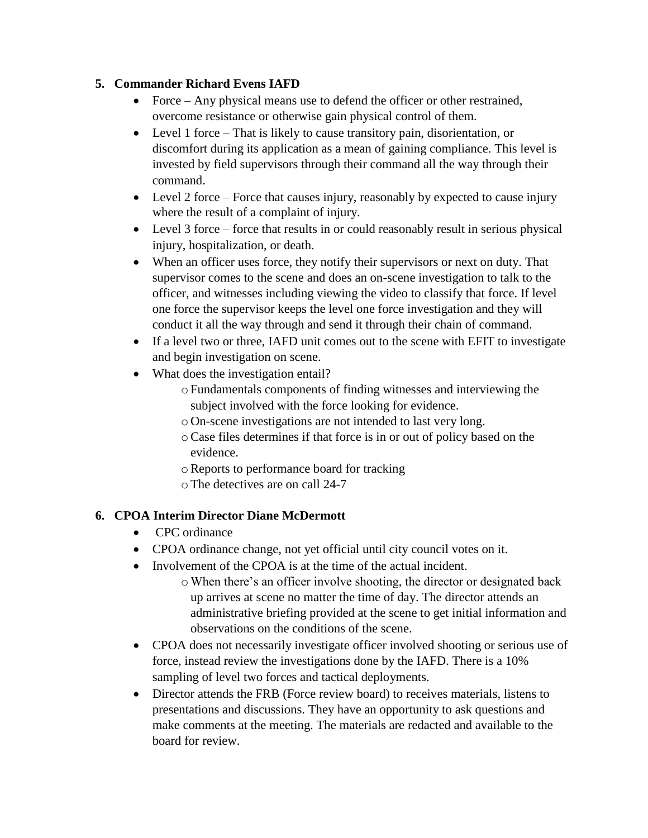#### **5. Commander Richard Evens IAFD**

- Force Any physical means use to defend the officer or other restrained, overcome resistance or otherwise gain physical control of them.
- Level 1 force That is likely to cause transitory pain, disorientation, or discomfort during its application as a mean of gaining compliance. This level is invested by field supervisors through their command all the way through their command.
- Level 2 force Force that causes injury, reasonably by expected to cause injury where the result of a complaint of injury.
- Level 3 force force that results in or could reasonably result in serious physical injury, hospitalization, or death.
- When an officer uses force, they notify their supervisors or next on duty. That supervisor comes to the scene and does an on-scene investigation to talk to the officer, and witnesses including viewing the video to classify that force. If level one force the supervisor keeps the level one force investigation and they will conduct it all the way through and send it through their chain of command.
- If a level two or three, IAFD unit comes out to the scene with EFIT to investigate and begin investigation on scene.
- What does the investigation entail?
	- oFundamentals components of finding witnesses and interviewing the subject involved with the force looking for evidence.
	- o On-scene investigations are not intended to last very long.
	- oCase files determines if that force is in or out of policy based on the evidence.
	- oReports to performance board for tracking
	- oThe detectives are on call 24-7

# **6. CPOA Interim Director Diane McDermott**

- CPC ordinance
- CPOA ordinance change, not yet official until city council votes on it.
- Involvement of the CPOA is at the time of the actual incident.
	- oWhen there's an officer involve shooting, the director or designated back up arrives at scene no matter the time of day. The director attends an administrative briefing provided at the scene to get initial information and observations on the conditions of the scene.
- CPOA does not necessarily investigate officer involved shooting or serious use of force, instead review the investigations done by the IAFD. There is a 10% sampling of level two forces and tactical deployments.
- Director attends the FRB (Force review board) to receives materials, listens to presentations and discussions. They have an opportunity to ask questions and make comments at the meeting. The materials are redacted and available to the board for review.